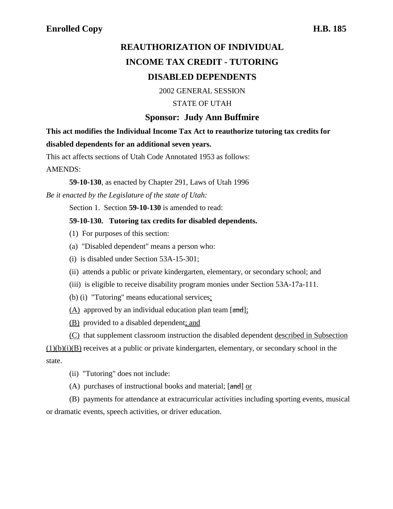# **REAUTHORIZATION OF INDIVIDUAL INCOME TAX CREDIT - TUTORING DISABLED DEPENDENTS**

2002 GENERAL SESSION

#### STATE OF UTAH

### **Sponsor: Judy Ann Buffmire**

**This act modifies the Individual Income Tax Act to reauthorize tutoring tax credits for disabled dependents for an additional seven years.**

This act affects sections of Utah Code Annotated 1953 as follows:

AMENDS:

**59-10-130**, as enacted by Chapter 291, Laws of Utah 1996

*Be it enacted by the Legislature of the state of Utah:*

Section 1. Section **59-10-130** is amended to read:

#### **59-10-130. Tutoring tax credits for disabled dependents.**

- (1) For purposes of this section:
- (a) "Disabled dependent" means a person who:
- (i) is disabled under Section 53A-15-301;
- (ii) attends a public or private kindergarten, elementary, or secondary school; and
- (iii) is eligible to receive disability program monies under Section 53A-17a-111.
- (b) (i) "Tutoring" means educational services:
- $(A)$  approved by an individual education plan team  $[\text{and}]$ ;
- (B) provided to a disabled dependent; and
- (C) that supplement classroom instruction the disabled dependent described in Subsection

 $(1)(b)(i)(B)$  receives at a public or private kindergarten, elementary, or secondary school in the state.

- (ii) "Tutoring" does not include:
- (A) purchases of instructional books and material;  $[\text{and}]$  or

(B) payments for attendance at extracurricular activities including sporting events, musical or dramatic events, speech activities, or driver education.